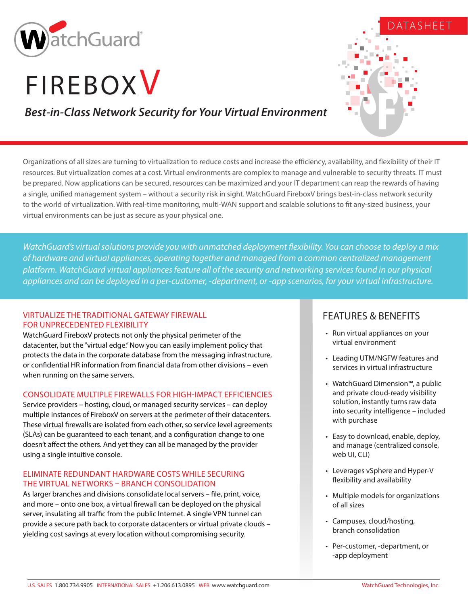

# **FIREBOXV**

# DATASHEET

# *Best-in-Class Network Security for Your Virtual Environment*

Organizations of all sizes are turning to virtualization to reduce costs and increase the efficiency, availability, and flexibility of their IT resources. But virtualization comes at a cost. Virtual environments are complex to manage and vulnerable to security threats. IT must be prepared. Now applications can be secured, resources can be maximized and your IT department can reap the rewards of having a single, unified management system – without a security risk in sight. WatchGuard FireboxV brings best-in-class network security to the world of virtualization. With real-time monitoring, multi-WAN support and scalable solutions to fit any-sized business, your virtual environments can be just as secure as your physical one.

*WatchGuard's virtual solutions provide you with unmatched deployment flexibility. You can choose to deploy a mix of hardware and virtual appliances, operating together and managed from a common centralized management platform. WatchGuard virtual appliances feature all of the security and networking services found in our physical appliances and can be deployed in a per-customer, -department, or -app scenarios, for your virtual infrastructure.*

### VIRTUALIZE THE TRADITIONAL GATEWAY FIREWALL FOR UNPRECEDENTED FLEXIBILITY

WatchGuard FireboxV protects not only the physical perimeter of the datacenter, but the "virtual edge." Now you can easily implement policy that protects the data in the corporate database from the messaging infrastructure, or confidential HR information from financial data from other divisions – even when running on the same servers.

### CONSOLIDATE MULTIPLE FIREWALLS FOR HIGH-IMPACT EFFICIENCIES

Service providers – hosting, cloud, or managed security services – can deploy multiple instances of FireboxV on servers at the perimeter of their datacenters. These virtual firewalls are isolated from each other, so service level agreements (SLAs) can be guaranteed to each tenant, and a configuration change to one doesn't affect the others. And yet they can all be managed by the provider using a single intuitive console.

### ELIMINATE REDUNDANT HARDWARE COSTS WHILE SECURING THE VIRTUAL NETWORKS – BRANCH CONSOLIDATION

As larger branches and divisions consolidate local servers – file, print, voice, and more – onto one box, a virtual firewall can be deployed on the physical server, insulating all traffic from the public Internet. A single VPN tunnel can provide a secure path back to corporate datacenters or virtual private clouds – yielding cost savings at every location without compromising security.

## FEATURES & BENEFITS

- Run virtual appliances on your virtual environment
- Leading UTM/NGFW features and services in virtual infrastructure
- WatchGuard Dimension™, a public and private cloud-ready visibility solution, instantly turns raw data into security intelligence – included with purchase
- Easy to download, enable, deploy, and manage (centralized console, web UI, CLI)
- Leverages vSphere and Hyper-V flexibility and availability
- Multiple models for organizations of all sizes
- Campuses, cloud/hosting, branch consolidation
- Per-customer, -department, or -app deployment